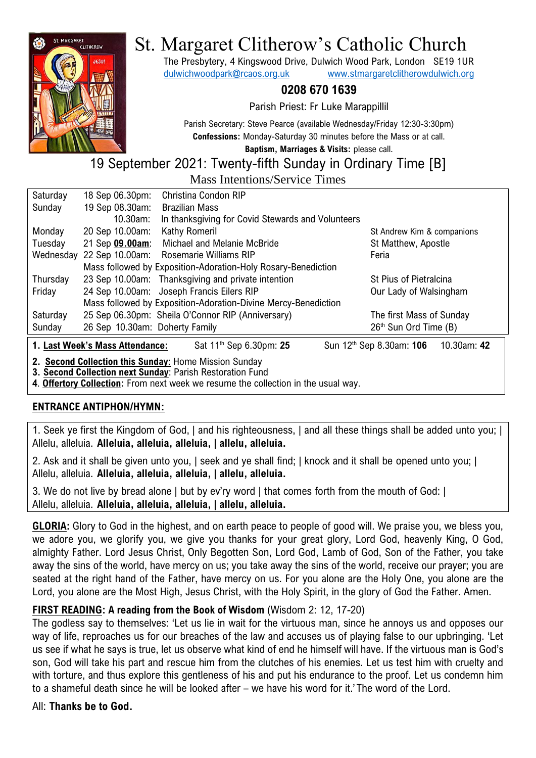

# St. Margaret Clitherow's Catholic Church

The Presbytery, 4 Kingswood Drive, Dulwich Wood Park, London SE19 1UR [dulwichwoodpark@rcaos.org.uk](mailto:dulwichwoodpark@rcaos.org.uk) [www.stmargaretclitherowdulwich.org](http://www.stmargaretclitherowdulwich.org/)

# **0208 670 1639**

Parish Priest: Fr Luke Marappillil

Parish Secretary: Steve Pearce (available Wednesday/Friday 12:30-3:30pm) **Confessions:** Monday-Saturday 30 minutes before the Mass or at call.

**Baptism, Marriages & Visits:** please call.

# 19 September 2021: Twenty-fifth Sunday in Ordinary Time [B] Mass Intentions/Service Times

| Saturday                                                                                                                             | 18 Sep 06.30pm:                                                | Christina Condon RIP                               |                                   |
|--------------------------------------------------------------------------------------------------------------------------------------|----------------------------------------------------------------|----------------------------------------------------|-----------------------------------|
| Sunday                                                                                                                               | 19 Sep 08.30am:                                                | <b>Brazilian Mass</b>                              |                                   |
|                                                                                                                                      | 10.30am:                                                       | In thanksgiving for Covid Stewards and Volunteers  |                                   |
| Monday                                                                                                                               | 20 Sep 10.00am:                                                | Kathy Romeril                                      | St Andrew Kim & companions        |
| Tuesday                                                                                                                              | 21 Sep 09.00am:                                                | Michael and Melanie McBride                        | St Matthew, Apostle               |
| Wednesday                                                                                                                            |                                                                | 22 Sep 10.00am: Rosemarie Williams RIP             | Feria                             |
|                                                                                                                                      | Mass followed by Exposition-Adoration-Holy Rosary-Benediction  |                                                    |                                   |
| Thursday                                                                                                                             |                                                                | 23 Sep 10.00am: Thanksgiving and private intention | <b>St Pius of Pietralcina</b>     |
| Friday                                                                                                                               |                                                                | 24 Sep 10.00am: Joseph Francis Eilers RIP          | Our Lady of Walsingham            |
|                                                                                                                                      | Mass followed by Exposition-Adoration-Divine Mercy-Benediction |                                                    |                                   |
| Saturday                                                                                                                             |                                                                | 25 Sep 06.30pm: Sheila O'Connor RIP (Anniversary)  | The first Mass of Sunday          |
| Sunday                                                                                                                               | 26 Sep 10.30am: Doherty Family                                 |                                                    | 26 <sup>th</sup> Sun Ord Time (B) |
| 1. Last Week's Mass Attendance:<br>Sat 11 <sup>th</sup> Sep 6.30pm: 25<br>Sun 12 <sup>th</sup> Sep 8.30am: <b>106</b><br>10.30am: 42 |                                                                |                                                    |                                   |
| 2 Second Collection this Sunday: Heme Mission Sunday                                                                                 |                                                                |                                                    |                                   |

**2. Second Collection this Sunday**: Home Mission Sunday

**3. Second Collection next Sunday**: Parish Restoration Fund

**4**. **Offertory Collection:** From next week we resume the collection in the usual way.

# **ENTRANCE ANTIPHON/HYMN:**

1. Seek ye first the Kingdom of God, | and his righteousness, | and all these things shall be added unto you; | Allelu, alleluia. **Alleluia, alleluia, alleluia, | allelu, alleluia.**

2. Ask and it shall be given unto you, | seek and ye shall find; | knock and it shall be opened unto you; | Allelu, alleluia. **Alleluia, alleluia, alleluia, | allelu, alleluia.**

3. We do not live by bread alone | but by ev'ry word | that comes forth from the mouth of God: | Allelu, alleluia. **Alleluia, alleluia, alleluia, | allelu, alleluia.**

**GLORIA:** Glory to God in the highest, and on earth peace to people of good will. We praise you, we bless you, we adore you, we glorify you, we give you thanks for your great glory, Lord God, heavenly King, O God, almighty Father. Lord Jesus Christ, Only Begotten Son, Lord God, Lamb of God, Son of the Father, you take away the sins of the world, have mercy on us; you take away the sins of the world, receive our prayer; you are seated at the right hand of the Father, have mercy on us. For you alone are the Holy One, you alone are the Lord, you alone are the Most High, Jesus Christ, with the Holy Spirit, in the glory of God the Father. Amen.

# **FIRST READING: A reading from the Book of Wisdom** (Wisdom 2: 12, 17-20)

The godless say to themselves: 'Let us lie in wait for the virtuous man, since he annoys us and opposes our way of life, reproaches us for our breaches of the law and accuses us of playing false to our upbringing. 'Let us see if what he says is true, let us observe what kind of end he himself will have. If the virtuous man is God's son, God will take his part and rescue him from the clutches of his enemies. Let us test him with cruelty and with torture, and thus explore this gentleness of his and put his endurance to the proof. Let us condemn him to a shameful death since he will be looked after – we have his word for it.' The word of the Lord.

All: **Thanks be to God.**